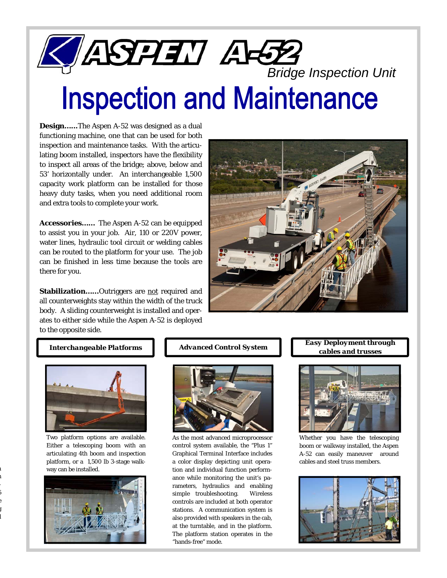# **ELASPET AFTE**<br>Inspection and Maintenance

**Design…...**The Aspen A-52 was designed as a dual functioning machine, one that can be used for both inspection and maintenance tasks. With the articulating boom installed, inspectors have the flexibility to inspect all areas of the bridge; above, below and 53' horizontally under. An interchangeable 1,500 capacity work platform can be installed for those heavy duty tasks, when you need additional room and extra tools to complete your work.

**Accessories……** The Aspen A-52 can be equipped to assist you in your job. Air, 110 or 220V power, water lines, hydraulic tool circuit or welding cables can be routed to the platform for your use. The job can be finished in less time because the tools are there for you.

**Stabilization......**Outriggers are not required and all counterweights stay within the width of the truck body. A sliding counterweight is installed and operates to either side while the Aspen A-52 is deployed to the opposite side.





Two platform options are available. Either a telescoping boom with an articulating 4th boom and inspection platform, or a 1,500 lb 3-stage walkway can be installed.

n h - 5 e g l





As the most advanced microprocessor control system available, the "Plus 1" Graphical Terminal Interface includes a color display depicting unit operation and individual function performance while monitoring the unit's parameters, hydraulics and enabling simple troubleshooting. Wireless controls are included at both operator stations. A communication system is also provided with speakers in the cab, at the turntable, and in the platform. The platform station operates in the "hands-free" mode.

# *Interchangeable Platforms Advanced Control System Easy Deployment through cables and trusses*



Whether you have the telescoping boom or walkway installed, the Aspen A-52 can easily maneuver around cables and steel truss members.